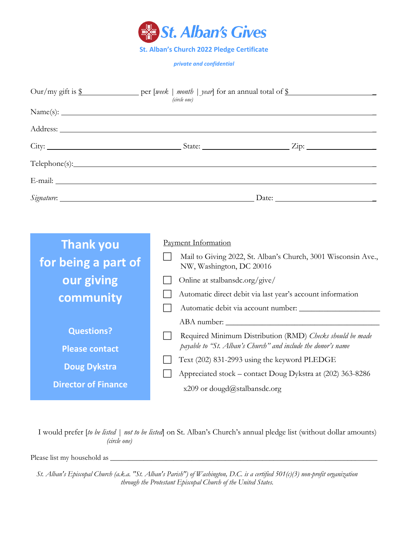

*private and confidential*

| (circle one)               |                                                                                                                                                                                                                                |  |  |
|----------------------------|--------------------------------------------------------------------------------------------------------------------------------------------------------------------------------------------------------------------------------|--|--|
|                            |                                                                                                                                                                                                                                |  |  |
|                            |                                                                                                                                                                                                                                |  |  |
|                            |                                                                                                                                                                                                                                |  |  |
|                            | Telephone(s): 1. Telephone(s):                                                                                                                                                                                                 |  |  |
|                            | E-mail: The contract of the contract of the contract of the contract of the contract of the contract of the contract of the contract of the contract of the contract of the contract of the contract of the contract of the co |  |  |
|                            |                                                                                                                                                                                                                                |  |  |
|                            |                                                                                                                                                                                                                                |  |  |
| <b>Thank you</b>           | Payment Information                                                                                                                                                                                                            |  |  |
| for being a part of        | Mail to Giving 2022, St. Alban's Church, 3001 Wisconsin Ave.,<br>NW, Washington, DC 20016                                                                                                                                      |  |  |
| our giving                 | Online at stalbansdc.org/give/                                                                                                                                                                                                 |  |  |
| community                  | Automatic direct debit via last year's account information                                                                                                                                                                     |  |  |
|                            | ABA number:                                                                                                                                                                                                                    |  |  |
| <b>Questions?</b>          | Required Minimum Distribution (RMD) Checks should be made                                                                                                                                                                      |  |  |
| <b>Please contact</b>      | payable to "St. Alban's Church" and include the donor's name                                                                                                                                                                   |  |  |
| <b>Doug Dykstra</b>        | Text (202) 831-2993 using the keyword PLEDGE                                                                                                                                                                                   |  |  |
| <b>Director of Finance</b> | Appreciated stock - contact Doug Dykstra at (202) 363-8286<br>x209 or dougd@stalbansdc.org                                                                                                                                     |  |  |

I would prefer [*to be listed | not to be listed*] on St. Alban's Church's annual pledge list (without dollar amounts)  *(circle one)*

Please list my household as

**(202) 363-8286 x209**

*St. Alban's Episcopal Church (a.k.a. "St. Alban's Parish") of Washington, D.C. is a certified 501(c)(3) non-profit organization through the Protestant Episcopal Church of the United States.*